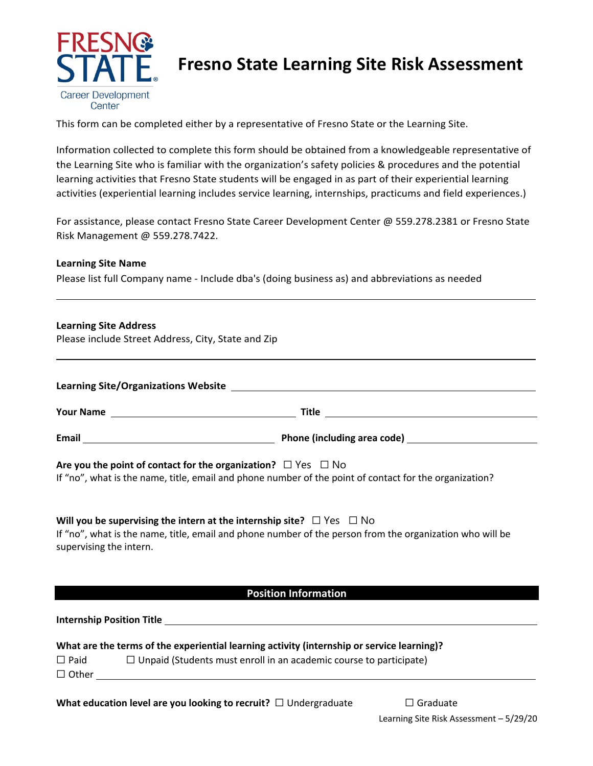

# **Fresno State Learning Site Risk Assessment**

This form can be completed either by a representative of Fresno State or the Learning Site.

Information collected to complete this form should be obtained from a knowledgeable representative of the Learning Site who is familiar with the organization's safety policies & procedures and the potential learning activities that Fresno State students will be engaged in as part of their experiential learning activities (experiential learning includes service learning, internships, practicums and field experiences.)

For assistance, please contact Fresno State Career Development Center @ 559.278.2381 or Fresno State Risk Management @ 559.278.7422.

# **Learning Site Name**

Please list full Company name - Include dba's (doing business as) and abbreviations as needed

#### **Learning Site Address**

Please include Street Address, City, State and Zip

| <b>Learning Site/Organizations Website</b><br><u>and the state of the state of the state of the state of the state of the state of the state of the state of th</u> |  |  |  |
|---------------------------------------------------------------------------------------------------------------------------------------------------------------------|--|--|--|
| <b>Your Name</b>                                                                                                                                                    |  |  |  |
| Email                                                                                                                                                               |  |  |  |
|                                                                                                                                                                     |  |  |  |

# **Are you the point of contact for the organization?**  $□$  Yes  $□$  No

If "no", what is the name, title, email and phone number of the point of contact for the organization?

# **Will you be supervising the intern at the internship site?** □ Yes □ No

If "no", what is the name, title, email and phone number of the person from the organization who will be supervising the intern.

# **Position Information**

**Internship Position Title** 

| What are the terms of the experiential learning activity (internship or service learning)? |  |  |  |
|--------------------------------------------------------------------------------------------|--|--|--|
|                                                                                            |  |  |  |

| $\Box$ Paid  | $\Box$ Unpaid (Students must enroll in an academic course to participate) |
|--------------|---------------------------------------------------------------------------|
| $\Box$ Other |                                                                           |

# **What education level are you looking to recruit?** □ Undergraduate □ Graduate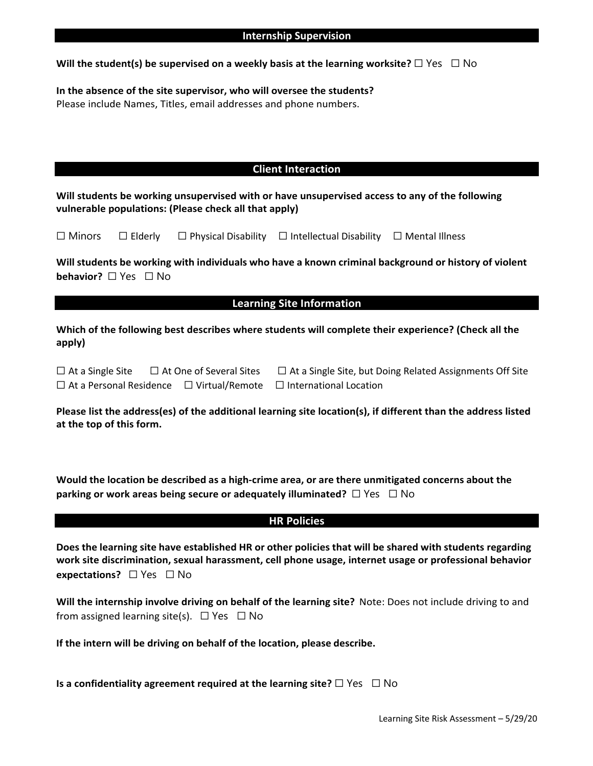### **Will the student(s) be supervised on a weekly basis at the learning worksite?**  $\Box$  Yes  $\Box$  No

#### **In the absence of the site supervisor, who will oversee the students?** Please include Names, Titles, email addresses and phone numbers.

# **Client Interaction**

**Will students be working unsupervised with or have unsupervised access to any of the following vulnerable populations: (Please check all that apply)**

|  | $\Box$ Minors | $\Box$ Elderly |  | $\Box$ Physical Disability $\Box$ Intellectual Disability $\Box$ Mental Illness |  |
|--|---------------|----------------|--|---------------------------------------------------------------------------------|--|
|--|---------------|----------------|--|---------------------------------------------------------------------------------|--|

**Will students be working with individuals who have a known criminal background or history of violent behavior?** □ Yes □ No

#### **Learning Site Information**

**Which of the following best describes where students will complete their experience? (Check all the apply)**

| $\Box$ At a Single Site        | $\Box$ At One of Several Sites |
|--------------------------------|--------------------------------|
| $\Box$ At a Personal Residence | $\Box$ Virtual/Remote          |

□ At a Single Site, but Doing Related Assignments Off Site □ International Location

**Please list the address(es) of the additional learning site location(s), if different than the address listed at the top of this form.**

**Would the location be described as a high-crime area, or are there unmitigated concerns about the parking or work areas being secure or adequately illuminated?**  $\Box$  Yes  $\Box$  No

# **HR Policies**

**Does the learning site have established HR or other policies that will be shared with students regarding work site discrimination, sexual harassment, cell phone usage, internet usage or professional behavior expectations?** ☐ Yes ☐ No

**Will the internship involve driving on behalf of the learning site?** Note: Does not include driving to and from assigned learning site(s).  $\Box$  Yes  $\Box$  No

**If the intern will be driving on behalf of the location, please describe.**

**Is a confidentiality agreement required at the learning site?** □ Yes □ No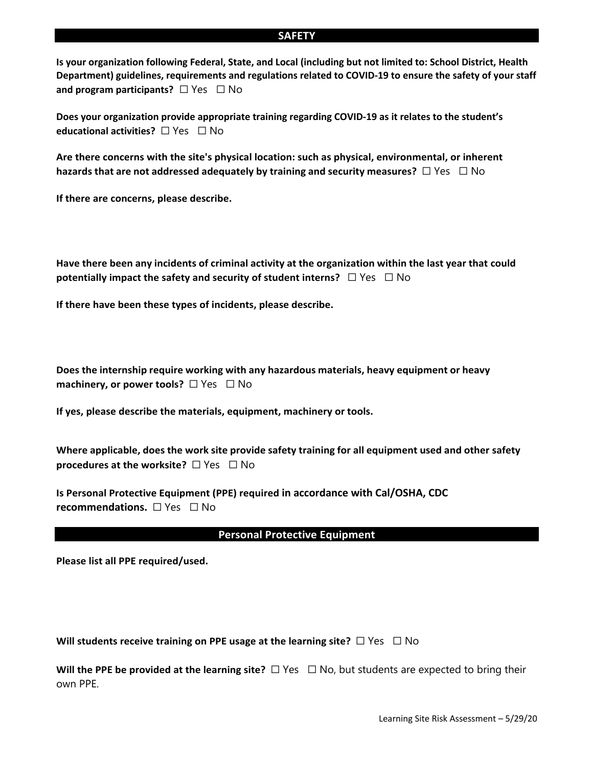#### **SAFETY**

**Is your organization following Federal, State, and Local (including but not limited to: School District, Health Department) guidelines, requirements and regulations related to COVID-19 to ensure the safety of your staff and program participants?** □ Yes □ No

**Does your organization provide appropriate training regarding COVID-19 as it relates to the student's educational activities?** ☐ Yes ☐ No

**Are there concerns with the site's physical location: such as physical, environmental, or inherent hazards that are not addressed adequately by training and security measures?** ☐ Yes ☐ No

**If there are concerns, please describe.**

**Have there been any incidents of criminal activity at the organization within the last year that could potentially impact the safety and security of student interns?**  $\Box$  Yes  $\Box$  No

**If there have been these types of incidents, please describe.**

**Does the internship require working with any hazardous materials, heavy equipment or heavy machinery, or power tools?** □ Yes □ No

**If yes, please describe the materials, equipment, machinery or tools.**

**Where applicable, does the work site provide safety training for all equipment used and other safety procedures at the worksite?** □ Yes □ No

**Is Personal Protective Equipment (PPE) required in accordance with Cal/OSHA, CDC recommendations.** □ Yes □ No

#### **Personal Protective Equipment**

**Please list all PPE required/used.**

**Will students receive training on PPE usage at the learning site?** □ Yes □ No

**Will the PPE be provided at the learning site?** □ Yes □ No, but students are expected to bring their own PPE.